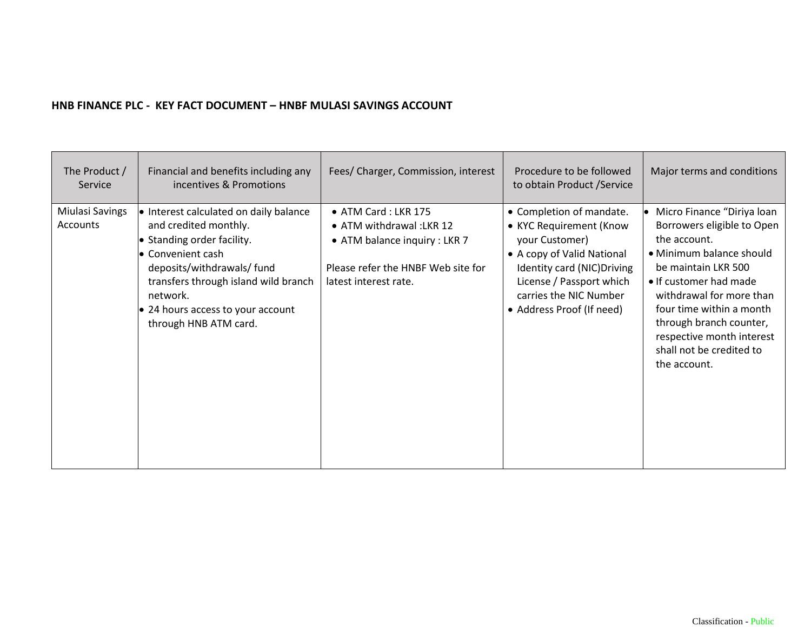## **HNB FINANCE PLC - KEY FACT DOCUMENT – HNBF MULASI SAVINGS ACCOUNT**

| The Product /<br>Service    | Financial and benefits including any<br>incentives & Promotions                                                                                                                                                                                                           | Fees/ Charger, Commission, interest                                                                                                             | Procedure to be followed<br>to obtain Product / Service                                                                                                                                                               | Major terms and conditions                                                                                                                                                                                                                                                                                        |
|-----------------------------|---------------------------------------------------------------------------------------------------------------------------------------------------------------------------------------------------------------------------------------------------------------------------|-------------------------------------------------------------------------------------------------------------------------------------------------|-----------------------------------------------------------------------------------------------------------------------------------------------------------------------------------------------------------------------|-------------------------------------------------------------------------------------------------------------------------------------------------------------------------------------------------------------------------------------------------------------------------------------------------------------------|
| Miulasi Savings<br>Accounts | • Interest calculated on daily balance<br>and credited monthly.<br>• Standing order facility.<br>• Convenient cash<br>deposits/withdrawals/fund<br>transfers through island wild branch<br>network.<br>$\bullet$ 24 hours access to your account<br>through HNB ATM card. | • ATM Card: LKR 175<br>• ATM withdrawal: LKR 12<br>• ATM balance inquiry : LKR 7<br>Please refer the HNBF Web site for<br>latest interest rate. | • Completion of mandate.<br>• KYC Requirement (Know<br>your Customer)<br>• A copy of Valid National<br>Identity card (NIC) Driving<br>License / Passport which<br>carries the NIC Number<br>• Address Proof (If need) | Micro Finance "Diriya loan<br>Borrowers eligible to Open<br>the account.<br>· Minimum balance should<br>be maintain LKR 500<br>• If customer had made<br>withdrawal for more than<br>four time within a month<br>through branch counter,<br>respective month interest<br>shall not be credited to<br>the account. |